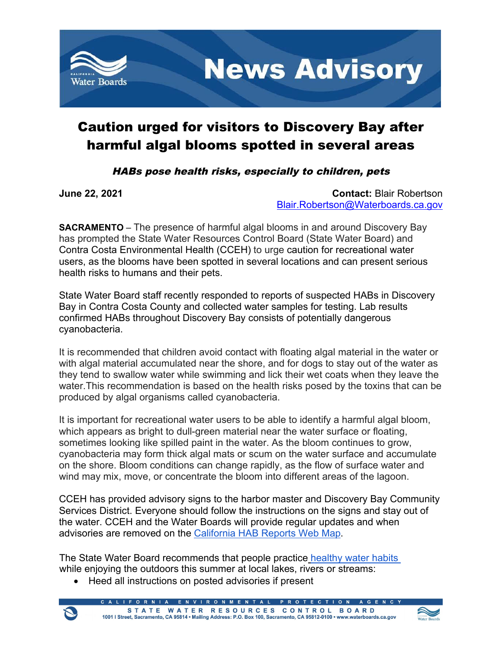

## Caution urged for visitors to Discovery Bay after harmful algal blooms spotted in several areas

## HABs pose health risks, especially to children, pets

**June 22, 2021 Contact:** Blair Robertson [Blair.Robertson@Waterboards.ca.gov](mailto:Blair.Robertson@Waterboards.ca.gov)

**SACRAMENTO** – The presence of harmful algal blooms in and around Discovery Bay has prompted the State Water Resources Control Board (State Water Board) and Contra Costa Environmental Health (CCEH) to urge caution for recreational water users, as the blooms have been spotted in several locations and can present serious health risks to humans and their pets.

State Water Board staff recently responded to reports of suspected HABs in Discovery Bay in Contra Costa County and collected water samples for testing. Lab results confirmed HABs throughout Discovery Bay consists of potentially dangerous cyanobacteria.

It is recommended that children avoid contact with floating algal material in the water or with algal material accumulated near the shore, and for dogs to stay out of the water as they tend to swallow water while swimming and lick their wet coats when they leave the water.This recommendation is based on the health risks posed by the toxins that can be produced by algal organisms called cyanobacteria.

It is important for recreational water users to be able to identify a harmful algal bloom, which appears as bright to dull-green material near the water surface or floating, sometimes looking like spilled paint in the water. As the bloom continues to grow, cyanobacteria may form thick algal mats or scum on the water surface and accumulate on the shore. Bloom conditions can change rapidly, as the flow of surface water and wind may mix, move, or concentrate the bloom into different areas of the lagoon.

CCEH has provided advisory signs to the harbor master and Discovery Bay Community Services District. Everyone should follow the instructions on the signs and stay out of the water. CCEH and the Water Boards will provide regular updates and when advisories are removed on the [California HAB Reports Web Map](https://mywaterquality.ca.gov/habs/where/freshwater_events.html).

The State Water Board recommends that people practice healthy water habits while enjoying the outdoors this summer at local lakes, rivers or streams:

· Heed all instructions on posted advisories if present